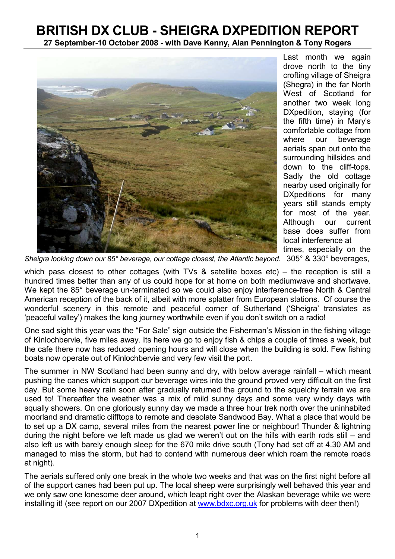## BRITISH DX CLUB - SHEIGRA DXPEDITION REPORT

27 September-10 October 2008 - with Dave Kenny, Alan Pennington & Tony Rogers



Last month we again drove north to the tiny crofting village of Sheigra (Shegra) in the far North West of Scotland for another two week long DXpedition, staying (for the fifth time) in Mary's comfortable cottage from where our beverage aerials span out onto the surrounding hillsides and down to the cliff-tops. Sadly the old cottage nearby used originally for DXpeditions for many years still stands empty for most of the year. Although our current base does suffer from local interference at times, especially on the

Sheigra looking down our 85° beverage, our cottage closest, the Atlantic beyond. 305° & 330° beverages,

which pass closest to other cottages (with TVs & satellite boxes etc) – the reception is still a hundred times better than any of us could hope for at home on both mediumwave and shortwave. We kept the 85° beverage un-terminated so we could also enjoy interference-free North & Central American reception of the back of it, albeit with more splatter from European stations. Of course the wonderful scenery in this remote and peaceful corner of Sutherland ('Sheigra' translates as 'peaceful valley') makes the long journey worthwhile even if you don't switch on a radio!

One sad sight this year was the "For Sale" sign outside the Fisherman's Mission in the fishing village of Kinlochbervie, five miles away. Its here we go to enjoy fish & chips a couple of times a week, but the cafe there now has reduced opening hours and will close when the building is sold. Few fishing boats now operate out of Kinlochbervie and very few visit the port.

The summer in NW Scotland had been sunny and dry, with below average rainfall – which meant pushing the canes which support our beverage wires into the ground proved very difficult on the first day. But some heavy rain soon after gradually returned the ground to the squelchy terrain we are used to! Thereafter the weather was a mix of mild sunny days and some very windy days with squally showers. On one gloriously sunny day we made a three hour trek north over the uninhabited moorland and dramatic clifftops to remote and desolate Sandwood Bay. What a place that would be to set up a DX camp, several miles from the nearest power line or neighbour! Thunder & lightning during the night before we left made us glad we weren't out on the hills with earth rods still – and also left us with barely enough sleep for the 670 mile drive south (Tony had set off at 4.30 AM and managed to miss the storm, but had to contend with numerous deer which roam the remote roads at night).

The aerials suffered only one break in the whole two weeks and that was on the first night before all of the support canes had been put up. The local sheep were surprisingly well behaved this year and we only saw one lonesome deer around, which leapt right over the Alaskan beverage while we were installing it! (see report on our 2007 DXpedition at www.bdxc.org.uk for problems with deer then!)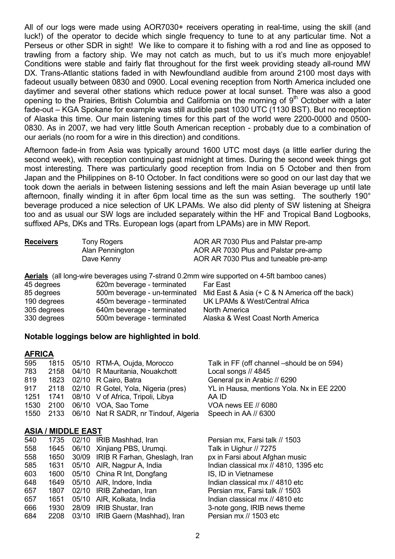All of our logs were made using AOR7030+ receivers operating in real-time, using the skill (and luck!) of the operator to decide which single frequency to tune to at any particular time. Not a Perseus or other SDR in sight! We like to compare it to fishing with a rod and line as opposed to trawling from a factory ship. We may not catch as much, but to us it's much more enjoyable! Conditions were stable and fairly flat throughout for the first week providing steady all-round MW DX. Trans-Atlantic stations faded in with Newfoundland audible from around 2100 most days with fadeout usually between 0830 and 0900. Local evening reception from North America included one daytimer and several other stations which reduce power at local sunset. There was also a good opening to the Prairies. British Columbia and California on the morning of  $9<sup>th</sup>$  October with a later fade-out – KGA Spokane for example was still audible past 1030 UTC (1130 BST). But no reception of Alaska this time. Our main listening times for this part of the world were 2200-0000 and 0500- 0830. As in 2007, we had very little South American reception - probably due to a combination of our aerials (no room for a wire in this direction) and conditions.

Afternoon fade-in from Asia was typically around 1600 UTC most days (a little earlier during the second week), with reception continuing past midnight at times. During the second week things got most interesting. There was particularly good reception from India on 5 October and then from Japan and the Philippines on 8-10 October. In fact conditions were so good on our last day that we took down the aerials in between listening sessions and left the main Asian beverage up until late afternoon, finally winding it in after 6pm local time as the sun was setting. The southerly 190° beverage produced a nice selection of UK LPAMs. We also did plenty of SW listening at Sheigra too and as usual our SW logs are included separately within the HF and Tropical Band Logbooks, suffixed APs, DKs and TRs. European logs (apart from LPAMs) are in MW Report.

| <b>Receivers</b> | <b>Tony Rogers</b>            | AOR AR 7030 Plus and Palstar pre-amp                                                               |
|------------------|-------------------------------|----------------------------------------------------------------------------------------------------|
|                  | Alan Pennington               | AOR AR 7030 Plus and Palstar pre-amp                                                               |
|                  | Dave Kenny                    | AOR AR 7030 Plus and tuneable pre-amp                                                              |
|                  |                               | <b>Aerials</b> (all long-wire beverages using 7-strand 0.2mm wire supported on 4-5ft bamboo canes) |
| 45 degrees       | 620m beverage - terminated    | Far East                                                                                           |
| 85 degrees       | 500m beverage - un-terminated | Mid East & Asia $(+ C & N$ America off the back)                                                   |

| 85 degrees  |                            | 500m beverage - un-terminated Mild East & Asia (+ C & N America off the back) |
|-------------|----------------------------|-------------------------------------------------------------------------------|
| 190 degrees | 450m beverage - terminated | UK LPAMs & West/Central Africa                                                |
| 305 degrees | 640m beverage - terminated | North America                                                                 |
| 330 degrees | 500m beverage - terminated | Alaska & West Coast North America                                             |

## Notable loggings below are highlighted in bold.

## **AFRICA**

| 595 |  | 1815 05/10 RTM-A, Oujda, Morocco                | Talk in FF (off channel -should be on 594) |
|-----|--|-------------------------------------------------|--------------------------------------------|
| 783 |  | 2158 04/10 R Mauritania, Nouakchott             | Local songs // 4845                        |
| 819 |  | 1823 02/10 R Cairo, Batra                       | General px in Arabic // 6290               |
| 917 |  | 2118 02/10 R Gotel, Yola, Nigeria (pres)        | YL in Hausa, mentions Yola. Nx in EE 2200  |
|     |  | 1251 1741 08/10 V of Africa, Tripoli, Libya     | AA ID                                      |
|     |  | 1530 2100 06/10 VOA, Sao Tome                   | VOA news EE // 6080                        |
|     |  | 1550 2133 06/10 Nat R SADR, nr Tindouf, Algeria | Speech in AA // 6300                       |
|     |  |                                                 |                                            |
|     |  |                                                 |                                            |

## ASIA / MIDDLE EAST

| 540 | 1735 | 02/10 IRIB Mashhad, Iran            | Pers     |
|-----|------|-------------------------------------|----------|
| 558 | 1645 | 06/10 Xinjiang PBS, Urumqi.         | Talk     |
| 558 | 1650 | 30/09 IRIB R Farhan, Gheslagh, Iran | px ir    |
| 585 | 1631 | 05/10 AIR, Nagpur A, India          | India    |
| 603 | 1600 | 05/10 China R Int, Dongfang         | IS, I    |
| 648 | 1649 | 05/10 AIR, Indore, India            | India    |
| 657 | 1807 | 02/10 IRIB Zahedan, Iran            | Pers     |
| 657 | 1651 | 05/10 AIR, Kolkata, India           | India    |
| 666 | 1930 | 28/09 IRIB Shustar, Iran            | $3 - nc$ |
| 684 | 2208 | 03/10 IRIB Gaern (Mashhad), Iran    | Pers     |

sian mx, Farsi talk // 1503 in Uighur // 7275 n Farsi about Afghan music an classical mx // 4810, 1395 etc D in Vietnamese an classical mx // 4810 etc sian mx, Farsi talk // 1503 an classical mx // 4810 etc te gong, IRIB news theme sian mx // 1503 etc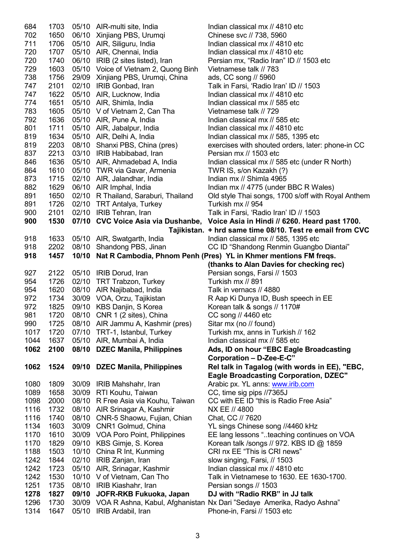| 684        | 1703 |       | 05/10 AIR-multi site, India                                       | Indian classical mx // 4810 etc                                                  |
|------------|------|-------|-------------------------------------------------------------------|----------------------------------------------------------------------------------|
| 702        | 1650 |       | 06/10 Xinjiang PBS, Urumqi                                        | Chinese svc // 738, 5960                                                         |
| 711        | 1706 |       | 05/10 AIR, Siliguru, India                                        | Indian classical mx // 4810 etc                                                  |
| 720        | 1707 |       | 05/10 AIR, Chennai, India                                         | Indian classical mx // 4810 etc                                                  |
| 720        | 1740 |       | 06/10 IRIB (2 sites listed), Iran                                 | Persian mx, "Radio Iran" ID // 1503 etc                                          |
| 729        | 1603 |       | 05/10 Voice of Vietnam 2, Quong Binh                              | Vietnamese talk // 783                                                           |
| 738        | 1756 |       | 29/09 Xinjiang PBS, Urumqi, China                                 | ads, CC song // 5960                                                             |
| 747        | 2101 |       | 02/10 IRIB Gonbad, Iran                                           | Talk in Farsi, 'Radio Iran' ID // 1503                                           |
| 747        | 1622 |       | 05/10 AIR, Lucknow, India                                         | Indian classical mx // 4810 etc                                                  |
| 774        | 1651 |       | 05/10 AIR, Shimla, India                                          | Indian classical mx // 585 etc                                                   |
| 783        | 1605 |       | 05/10 V of Vietnam 2, Can Tha                                     | Vietnamese talk // 729                                                           |
| 792        | 1636 |       | 05/10 AIR, Pune A, India                                          | Indian classical mx // 585 etc                                                   |
| 801        | 1711 |       | 05/10 AIR, Jabalpur, India                                        | Indian classical mx // 4810 etc                                                  |
| 819        | 1634 |       | 05/10 AIR, Delhi A, India                                         | Indian classical mx // 585, 1395 etc                                             |
| 819        | 2203 |       | 08/10 Shanxi PBS, China (pres)                                    | exercises with shouted orders, later: phone-in CC                                |
| 837        | 2213 |       | 03/10 IRIB Habibabad, Iran                                        | Persian mx // 1503 etc                                                           |
| 846        | 1636 |       | 05/10 AIR, Ahmadebad A, India                                     | Indian classical mx // 585 etc (under R North)                                   |
| 864        | 1610 |       | 05/10 TWR via Gavar, Armenia                                      | TWR IS, s/on Kazakh (?)                                                          |
| 873        | 1715 |       | 02/10 AIR, Jalandhar, India                                       | Indian mx // Shimla 4965                                                         |
| 882        | 1629 |       | 06/10 AIR Imphal, India                                           | Indian mx // 4775 (under BBC R Wales)                                            |
| 891        | 1650 |       |                                                                   | Old style Thai songs, 1700 s/off with Royal Anthem                               |
| 891        | 1726 |       | 02/10 R Thailand, Saraburi, Thailand<br>02/10 TRT Antalya, Turkey | Turkish mx // 954                                                                |
|            | 2101 |       | 02/10 IRIB Tehran, Iran                                           | Talk in Farsi, 'Radio Iran' ID // 1503                                           |
| 900<br>900 | 1530 |       |                                                                   |                                                                                  |
|            |      |       |                                                                   | 07/10 CVC Voice Asia via Dushanbe, Voice Asia in Hindi // 6260. Heard past 1700. |
|            |      |       |                                                                   | Tajikistan. + hrd same time 08/10. Test re email from CVC                        |
| 918        | 1633 |       | 05/10 AIR, Swatgarth, India                                       | Indian classical mx // 585, 1395 etc                                             |
| 918        | 2202 |       | 08/10 Shandong PBS, Jinan                                         | CC ID "Shandong Renmin Guangbo Diantai"                                          |
| 918        | 1457 |       |                                                                   | 10/10 Nat R Cambodia, Phnom Penh (Pres) YL in Khmer mentions FM freqs.           |
|            |      |       |                                                                   | (thanks to Alan Davies for checking rec)                                         |
| 927        | 2122 |       | 05/10 IRIB Dorud, Iran                                            | Persian songs, Farsi // 1503                                                     |
| 954        | 1726 |       | 02/10 TRT Trabzon, Turkey                                         | Turkish mx // 891                                                                |
| 954        | 1620 |       | 08/10 AIR Najibabad, India                                        | Talk in vernacs // 4880                                                          |
| 972        | 1734 |       | 30/09 VOA, Orzu, Tajikistan                                       | R Aap Ki Dunya ID, Bush speech in EE                                             |
| 972        | 1825 |       | 09/10 KBS Danjin, S Korea                                         | Korean talk & songs // 1170#                                                     |
| 981        | 1720 |       | 08/10 CNR 1 (2 sites), China                                      | CC song // 4460 etc                                                              |
| 990        | 1725 |       | 08/10 AIR Jammu A, Kashmir (pres)                                 | Sitar mx (no // found)                                                           |
| 1017       | 1720 |       | 07/10 TRT-1, Istanbul, Turkey                                     | Turkish mx, anns in Turkish // 162                                               |
| 1044       | 1637 |       | 05/10 AIR, Mumbai A, India                                        | Indian classical mx // 585 etc                                                   |
| 1062       | 2100 |       | 08/10 DZEC Manila, Philippines                                    | Ads, ID on hour "EBC Eagle Broadcasting                                          |
|            |      |       |                                                                   | Corporation - D-Zee-E-C"                                                         |
| 1062       | 1524 |       | 09/10 DZEC Manila, Philippines                                    | Rel talk in Tagalog (with words in EE), "EBC,                                    |
|            |      |       |                                                                   | <b>Eagle Broadcasting Corporation, DZEC"</b>                                     |
| 1080       | 1809 |       | 30/09 IRIB Mahshahr, Iran                                         | Arabic px. YL anns: www.irib.com                                                 |
| 1089       | 1658 |       | 30/09 RTI Kouhu, Taiwan                                           | CC, time sig pips //7365J                                                        |
| 1098       | 2000 |       | 08/10 R Free Asia via Kouhu, Taiwan                               | CC with EE ID "this is Radio Free Asia"                                          |
| 1116       | 1732 |       | 08/10 AIR Srinagar A, Kashmir                                     | NX EE // 4800                                                                    |
| 1116       | 1740 |       | 08/10 CNR-5 Shaowu, Fujian, Chian                                 | Chat, CC // 7620                                                                 |
| 1134       | 1603 |       | 30/09 CNR1 Golmud, China                                          | YL sings Chinese song //4460 kHz                                                 |
| 1170       | 1610 |       | 30/09 VOA Poro Point, Philippines                                 | EE lang lessons "teaching continues on VOA                                       |
| 1170       | 1829 |       | 09/10 KBS Gimje, S. Korea                                         | Korean talk /songs // 972. KBS ID @ 1859                                         |
| 1188       | 1503 | 10/10 | China R Int, Kunming                                              | CRI nx EE "This is CRI news"                                                     |
| 1242       | 1844 | 02/10 | IRIB Zanjan, Iran                                                 | slow singing, Farsi, // 1503                                                     |
| 1242       | 1723 |       | 05/10 AIR, Srinagar, Kashmir                                      | Indian classical mx // 4810 etc                                                  |
| 1242       | 1530 |       | 10/10 V of Vietnam, Can Tho                                       | Talk in Vietnamese to 1630. EE 1630-1700.                                        |
| 1251       | 1735 |       | 08/10 IRIB Kiashahr, Iran                                         | Persian songs // 1503                                                            |
| 1278       |      |       | 09/10 JOFR-RKB Fukuoka, Japan                                     | DJ with "Radio RKB" in JJ talk                                                   |
|            | 1827 |       |                                                                   |                                                                                  |
| 1296       | 1730 |       |                                                                   | 30/09 VOA R Ashna, Kabul, Afghanistan Nx Dari "Sedaye Amerika, Radyo Ashna"      |
| 1314       | 1647 | 05/10 | IRIB Ardabil, Iran                                                | Phone-in, Farsi // 1503 etc                                                      |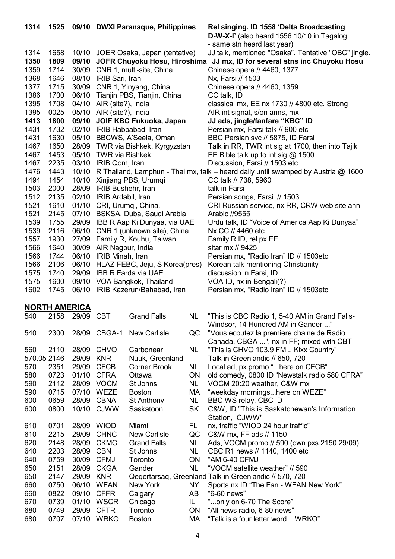| 1314        | 1525                 |           | 09/10 DWXI Paranaque, Philippines |                                     |           | Rel singing. ID 1558 'Delta Broadcasting                                                |
|-------------|----------------------|-----------|-----------------------------------|-------------------------------------|-----------|-----------------------------------------------------------------------------------------|
|             |                      |           |                                   |                                     |           | D-W-X-I' (also heard 1556 10/10 in Tagalog                                              |
|             |                      |           |                                   |                                     |           | - same stn heard last year)                                                             |
| 1314        | 1658                 |           |                                   | 10/10 JOER Osaka, Japan (tentative) |           | JJ talk, mentioned "Osaka". Tentative "OBC" jingle.                                     |
| 1350        | 1809                 |           |                                   | 09/10 JOFR Chuyoku Hosu, Hiroshima  |           | JJ mx, ID for several stns inc Chuyoku Hosu                                             |
| 1359        | 1714                 |           | 30/09 CNR 1, multi-site, China    |                                     |           | Chinese opera // 4460, 1377                                                             |
| 1368        | 1646                 | 08/10     | IRIB Sari, Iran                   |                                     |           | Nx, Farsi // 1503                                                                       |
| 1377        | 1715                 |           | 30/09 CNR 1, Yinyang, China       |                                     |           | Chinese opera // 4460, 1359                                                             |
| 1386        | 1700                 |           | 06/10 Tianjin PBS, Tianjin, China |                                     |           | CC talk, ID                                                                             |
| 1395        | 1708                 |           | 04/10 AIR (site?), India          |                                     |           | classical mx, EE nx 1730 // 4800 etc. Strong                                            |
| 1395        | 0025                 |           | 05/10 AIR (site?), India          |                                     |           | AIR int signal, s/on anns, mx                                                           |
| 1413        | 1800                 | 09/10     |                                   | JOIF KBC Fukuoka, Japan             |           | JJ ads, jingle/fanfare "KBC" ID                                                         |
| 1431        | 1732                 |           |                                   | 02/10 IRIB Habbabad, Iran           |           | Persian mx, Farsi talk // 900 etc                                                       |
| 1431        | 1630                 | 05/10     |                                   | BBCWS, A'Seela, Oman                |           | BBC Persian svc // 5875, ID Farsi                                                       |
| 1467        | 1650                 |           |                                   | 28/09 TWR via Bishkek, Kyrgyzstan   |           | Talk in RR, TWR int sig at 1700, then into Tajik                                        |
| 1467        | 1453                 |           | 05/10 TWR via Bishkek             |                                     |           | EE Bible talk up to int sig $@$ 1500.                                                   |
| 1467        | 2235                 |           | 03/10 IRIB Qom, Iran              |                                     |           | Discussion, Farsi // 1503 etc                                                           |
| 1476        | 1443                 |           |                                   |                                     |           | 10/10 R Thailand, Lamphun - Thai mx, talk – heard daily until swamped by Austria @ 1600 |
| 1494        | 1454                 |           |                                   | 10/10 Xinjiang PBS, Urumqi          |           | CC talk // 738, 5960                                                                    |
| 1503        | 2000                 |           | 28/09 IRIB Bushehr, Iran          |                                     |           | talk in Farsi                                                                           |
| 1512        |                      |           |                                   |                                     |           |                                                                                         |
|             | 2135                 |           | 02/10 IRIB Ardabil, Iran          |                                     |           | Persian songs, Farsi // 1503                                                            |
| 1521        | 1610                 |           |                                   | 01/10 CRI, Urumqi, China.           |           | CRI Russian service, nx RR, CRW web site ann.                                           |
| 1521        | 2145                 |           |                                   | 07/10 BSKSA, Duba, Saudi Arabia     |           | Arabic //9555                                                                           |
| 1539        | 1755                 |           |                                   | 29/09 IBB R Aap Ki Dunyaa, via UAE  |           | Urdu talk, ID "Voice of America Aap Ki Dunyaa"                                          |
| 1539        | 2116                 |           |                                   | 06/10 CNR 1 (unknown site), China   |           | Nx CC // 4460 etc                                                                       |
| 1557        | 1930                 |           |                                   | 27/09 Family R, Kouhu, Taiwan       |           | Family R ID, rel px EE                                                                  |
| 1566        | 1640                 |           | 30/09 AIR Nagpur, India           |                                     |           | sitar mx // 9425                                                                        |
| 1566        | 1744                 |           | 06/10 IRIB Minah, Iran            |                                     |           | Persian mx, "Radio Iran" ID // 1503etc                                                  |
| 1566        | 2106                 | 06/10     |                                   | HLAZ-FEBC, Jeju, S Korea(pres)      |           | Korean talk mentioning Christianity                                                     |
| 1575        | 1740                 | 29/09     |                                   | <b>IBB R Farda via UAE</b>          |           | discussion in Farsi, ID                                                                 |
| 1575        | 1600                 |           |                                   | 09/10 VOA Bangkok, Thailand         |           | VOA ID, nx in Bengali(?)                                                                |
| 1602        | 1745                 |           |                                   | 06/10 IRIB Kazerun/Bahabad, Iran    |           | Persian mx, "Radio Iran" ID // 1503etc                                                  |
|             |                      |           |                                   |                                     |           |                                                                                         |
|             | <b>NORTH AMERICA</b> |           |                                   |                                     |           |                                                                                         |
| 540         | 2158                 | 29/09 CBT |                                   | <b>Grand Falls</b>                  | <b>NL</b> | "This is CBC Radio 1, 5-40 AM in Grand Falls-                                           |
|             |                      |           |                                   |                                     |           | Windsor, 14 Hundred AM in Gander "                                                      |
| 540         | 2300                 |           | 28/09 CBGA-1                      | <b>New Carlisle</b>                 | QC        | "Vous ecoutez la premiere chaine de Radio                                               |
|             |                      |           |                                   |                                     |           | Canada, CBGA ", nx in FF; mixed with CBT                                                |
| 560         | 2110                 |           | 28/09 CHVO                        | Carbonear                           | <b>NL</b> | "This is CHVO 103.9 FM Kixx Country"                                                    |
| 570.05 2146 |                      | 29/09     | <b>KNR</b>                        | Nuuk, Greenland                     |           | Talk in Greenlandic // 650, 720                                                         |
| 570         | 2351                 |           | 29/09 CFCB                        | <b>Corner Brook</b>                 | <b>NL</b> | Local ad, px promo "here on CFCB"                                                       |
| 580         | 0723                 | 01/10     | <b>CFRA</b>                       | Ottawa                              | ON        | old comedy, 0800 ID "Newstalk radio 580 CFRA"                                           |
| 590         | 2112                 | 28/09     | <b>VOCM</b>                       | St Johns                            | NL.       | VOCM 20:20 weather, C&W mx                                                              |
| 590         | 0715                 | 07/10     | <b>WEZE</b>                       | <b>Boston</b>                       | МA        | "weekday morningshere on WEZE"                                                          |
| 600         |                      |           |                                   |                                     |           |                                                                                         |
| 600         | 0659                 | 28/09     | <b>CBNA</b>                       | <b>St Anthony</b>                   | <b>NL</b> | BBC WS relay, CBC ID                                                                    |
|             | 0800                 |           | 10/10 CJWW                        | Saskatoon                           | <b>SK</b> | C&W, ID "This is Saskatchewan's Information                                             |
|             |                      |           |                                   |                                     |           |                                                                                         |
|             |                      |           |                                   |                                     |           | Station, CJWW"                                                                          |
| 610         | 0701                 |           | 28/09 WIOD                        | Miami                               | FL        | nx, traffic "WIOD 24 hour traffic"                                                      |
| 610         | 2215                 | 29/09     | <b>CHNC</b>                       | <b>New Carlisle</b>                 | QC        | C&W mx, FF ads // 1150                                                                  |
| 620         | 2148                 | 28/09     | <b>CKMC</b>                       | <b>Grand Falls</b>                  | <b>NL</b> | Ads, VOCM promo // 590 (own pxs 2150 29/09)                                             |
| 640         | 2203                 | 28/09     | <b>CBN</b>                        | St Johns                            | NL.       | CBC R1 news // 1140, 1400 etc                                                           |
| 640         | 0759                 | 30/09     | <b>CFMJ</b>                       | Toronto                             | ON        | "AM 6-40 CFMJ"                                                                          |
| 650         | 2151                 | 28/09     | <b>CKGA</b>                       | Gander                              | <b>NL</b> | "VOCM satellite weather" // 590                                                         |
| 650         | 2147                 | 29/09     | <b>KNR</b>                        |                                     |           | Qeqertarsaq, Greenland Talk in Greenlandic // 570, 720                                  |
| 660         | 0750                 |           | 06/10 WFAN                        | New York                            | NY.       | Sports nx ID "The Fan - WFAN New York"                                                  |
| 660         | 0822                 |           | 09/10 CFFR                        | Calgary                             | AB        | "6-60 news"                                                                             |
| 670         | 0739                 |           | 01/10 WSCR                        | Chicago                             | IL.       | "only on 6-70 The Score"                                                                |
| 680         | 0749                 | 29/09     | <b>CFTR</b>                       | Toronto                             | ON        | "All news radio, 6-80 news"                                                             |
| 680         | 0707                 |           | 07/10 WRKO                        | <b>Boston</b>                       | МA        | "Talk is a four letter wordWRKO"                                                        |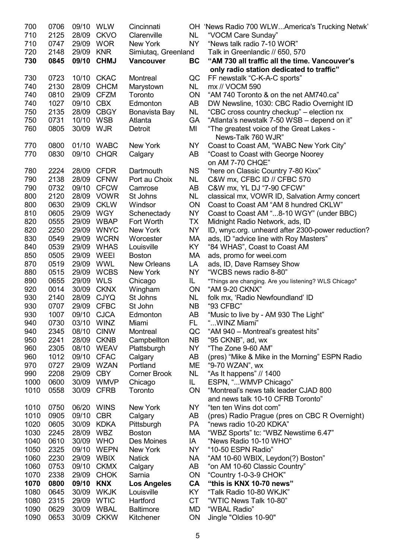| 700  | 0706 | 09/10 WLW  |             | Cincinnati          |           | OH 'News Radio 700 WLWAmerica's Trucking Netwk'       |
|------|------|------------|-------------|---------------------|-----------|-------------------------------------------------------|
| 710  | 2125 |            | 28/09 CKVO  | Clarenville         | NL.       | "VOCM Care Sunday"                                    |
| 710  | 0747 | 29/09 WOR  |             | New York            | <b>NY</b> | "News talk radio 7-10 WOR"                            |
| 720  | 2148 | 29/09      | <b>KNR</b>  | Simiutaq, Greenland |           | Talk in Greenlandic // 650, 570                       |
| 730  | 0845 |            | 09/10 CHMJ  | <b>Vancouver</b>    | <b>BC</b> | "AM 730 all traffic all the time. Vancouver's         |
|      |      |            |             |                     |           | only radio station dedicated to traffic"              |
| 730  | 0723 |            | 10/10 CKAC  | Montreal            | QC        | FF newstalk "C-K-A-C sports"                          |
| 740  | 2130 | 28/09      | <b>CHCM</b> | Marystown           | NL.       | mx // VOCM 590                                        |
| 740  | 0810 |            | 29/09 CFZM  | Toronto             | <b>ON</b> | "AM 740 Toronto & on the net AM740.ca"                |
| 740  | 1027 | 09/10 CBX  |             | Edmonton            | AB        |                                                       |
|      |      |            |             |                     |           | DW Newsline, 1030: CBC Radio Overnight ID             |
| 750  | 2135 | 28/09      | <b>CBGY</b> | Bonavista Bay       | <b>NL</b> | "CBC cross country checkup" – election nx             |
| 750  | 0731 | 10/10      | <b>WSB</b>  | Atlanta             | <b>GA</b> | "Atlanta's newstalk 7-50 WSB - depend on it"          |
| 760  | 0805 | 30/09      | <b>WJR</b>  | Detroit             | MI        | "The greatest voice of the Great Lakes -              |
|      |      |            |             |                     |           | News-Talk 760 WJR"                                    |
| 770  | 0800 | 01/10      | <b>WABC</b> | New York            | NY        | Coast to Coast AM, "WABC New York City"               |
| 770  | 0830 | 09/10      | <b>CHQR</b> | Calgary             | AB        | "Coast to Coast with George Noorey                    |
|      |      |            |             |                     |           | on AM 7-70 CHQE"                                      |
| 780  | 2224 |            | 28/09 CFDR  | Dartmouth           | <b>NS</b> | "here on Classic Country 7-80 Kixx"                   |
| 790  | 2138 |            | 28/09 CFNW  | Port au Choix       | <b>NL</b> | C&W mx, CFBC ID // CFBC 570                           |
| 790  | 0732 |            | 09/10 CFCW  | Camrose             | AB        | C&W mx, YL DJ "7-90 CFCW"                             |
| 800  | 2120 | 28/09      | <b>VOWR</b> | St Johns            | NL        | classical mx, VOWR ID, Salvation Army concert         |
| 800  | 0630 | 29/09      | <b>CKLW</b> | Windsor             | ON        | Coast to Coast AM "AM 8 hundred CKLW"                 |
| 810  | 0605 | 29/09      | <b>WGY</b>  | Schenectady         | <b>NY</b> | Coast to Coast AM "8-10 WGY" (under BBC)              |
| 820  | 0555 |            | 29/09 WBAP  | Fort Worth          | ТX        | Midnight Radio Network, ads, ID                       |
| 820  | 2250 |            | 29/09 WNYC  | New York            | <b>NY</b> | ID, wnyc.org. unheard after 2300-power reduction?     |
| 830  | 0549 |            | 29/09 WCRN  | Worcester           | МA        | ads, ID "advice line with Roy Masters"                |
| 840  | 0539 |            | 29/09 WHAS  | Louisville          | KY        | "84 WHAS", Coast to Coast AM                          |
| 850  | 0505 | 29/09      | WEEI        | <b>Boston</b>       | МA        | ads, promo for weei.com                               |
| 870  | 0519 | 29/09      | <b>WWL</b>  | <b>New Orleans</b>  | LA        |                                                       |
|      | 0515 | 29/09      | <b>WCBS</b> |                     | <b>NY</b> | ads, ID, Dave Ramsey Show<br>"WCBS news radio 8-80"   |
| 880  |      |            |             | New York            |           |                                                       |
| 890  | 0655 | 29/09      | <b>WLS</b>  | Chicago             | IL.       | "Things are changing. Are you listening? WLS Chicago" |
| 920  | 0014 | 30/09      | <b>CKNX</b> | Wingham             | <b>ON</b> | "AM 9-20 CKNX"                                        |
| 930  | 2140 |            | 28/09 CJYQ  | St Johns            | NL.       | folk mx, 'Radio Newfoundland' ID                      |
| 930  | 0707 |            | 29/09 CFBC  | St John             | NB.       | "93 CFBC"                                             |
| 930  | 1007 |            | 09/10 CJCA  | Edmonton            | AB        | "Music to live by - AM 930 The Light"                 |
| 940  | 0730 | 03/10 WINZ |             | Miami               | FL.       | "WINZ Miami"                                          |
| 940  | 2345 | 08/10      | <b>CINW</b> | Montreal            | QC        | "AM 940 - Montreal's greatest hits"                   |
| 950  | 2241 | 28/09      | <b>CKNB</b> | Campbellton         | <b>NB</b> | "95 CKNB", ad, wx                                     |
| 960  | 2305 | 08/10      | <b>WEAV</b> | Plattsburgh         | NY        | "The Zone 9-60 AM"                                    |
| 960  | 1012 | 09/10      | <b>CFAC</b> | Calgary             | AB        | (pres) "Mike & Mike in the Morning" ESPN Radio        |
| 970  | 0727 |            | 29/09 WZAN  | Portland            | ME        | "9-70 WZAN", wx                                       |
| 990  | 2208 | 29/09      | <b>CBY</b>  | <b>Corner Brook</b> | NL        | "As It happens" // 1400                               |
| 1000 | 0600 |            | 30/09 WMVP  | Chicago             | IL.       | ESPN, "WMVP Chicago"                                  |
| 1010 | 0558 | 30/09      | <b>CFRB</b> | Toronto             | <b>ON</b> | "Montreal's news talk leader CJAD 800                 |
|      |      |            |             |                     |           | and news talk 10-10 CFRB Toronto"                     |
| 1010 | 0750 | 06/20      | <b>WINS</b> | New York            | <b>NY</b> | "ten ten Wins dot com"                                |
| 1010 | 0905 | 09/10      | <b>CBR</b>  | Calgary             | AB        | (pres) Radio Prague (pres on CBC R Overnight)         |
| 1020 | 0605 | 30/09      | <b>KDKA</b> | Pittsburgh          | PA        | "news radio 10-20 KDKA"                               |
| 1030 | 2245 | 28/09 WBZ  |             | <b>Boston</b>       | МA        | "WBZ Sports" tc: "WBZ Newstime 6.47"                  |
| 1040 | 0610 | 30/09 WHO  |             | Des Moines          | IA        | "News Radio 10-10 WHO"                                |
| 1050 | 2325 |            | 09/10 WEPN  | New York            | NY        | "10-50 ESPN Radio"                                    |
|      |      |            |             |                     |           |                                                       |
| 1060 | 2230 |            | 29/09 WBIX  | <b>Natick</b>       | <b>NA</b> | "AM 10-60 WBIX, Leydon(?) Boston"                     |
| 1060 | 0753 | 09/10      | <b>CKMX</b> | Calgary             | AB        | "on AM 10-60 Classic Country"                         |
| 1070 | 2338 | 29/09      | <b>CHOK</b> | Sarnia              | <b>ON</b> | "Country 1-0-3-9 CHOK"                                |
| 1070 | 0800 | 09/10      | <b>KNX</b>  | <b>Los Angeles</b>  | CA        | "this is KNX 10-70 news"                              |
| 1080 | 0645 | 30/09      | <b>WKJK</b> | Louisville          | KY        | "Talk Radio 10-80 WKJK"                               |
| 1080 | 2315 | 29/09      | <b>WTIC</b> | Hartford            | <b>CT</b> | "WTIC News Talk 10-80"                                |
| 1090 | 0629 | 30/09      | <b>WBAL</b> | <b>Baltimore</b>    | MD        | "WBAL Radio"                                          |
| 1090 | 0653 | 30/09      | <b>CKKW</b> | Kitchener           | <b>ON</b> | Jingle "Oldies 10-90"                                 |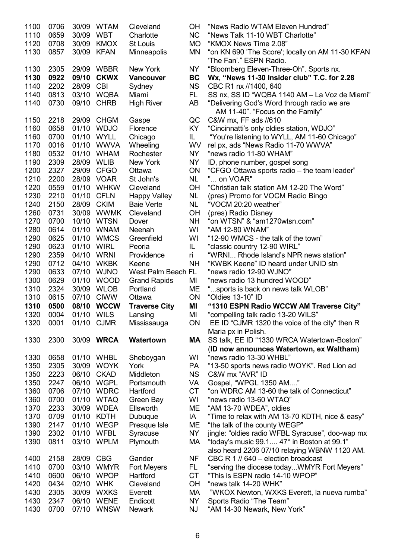| 1100         | 0706         |            | 30/09 WTAM                | Cleveland                 | OН                     | "News Radio WTAM Eleven Hundred"                       |
|--------------|--------------|------------|---------------------------|---------------------------|------------------------|--------------------------------------------------------|
| 1110         | 0659         | 30/09 WBT  |                           | Charlotte                 | <b>NC</b>              | "News Talk 11-10 WBT Charlotte"                        |
| 1120         | 0708         | 30/09      | <b>KMOX</b>               | <b>St Louis</b>           | <b>MO</b>              | "KMOX News Time 2.08"                                  |
| 1130         | 0857         | 30/09      | <b>KFAN</b>               | <b>Minneapolis</b>        | ΜN                     | "on KN 690 'The Score'; locally on AM 11-30 KFAN       |
|              |              |            |                           |                           |                        | 'The Fan'." ESPN Radio.                                |
| 1130         | 2305         |            | 29/09 WBBR                | New York                  | <b>NY</b>              | "Bloomberg Eleven-Three-Oh". Sports nx.                |
| 1130         | 0922         | 09/10      | <b>CKWX</b>               | <b>Vancouver</b>          | <b>BC</b>              | Wx, "News 11-30 Insider club" T.C. for 2.28            |
| 1140         | 2202         | 28/09      | <b>CBI</b>                | Sydney                    | <b>NS</b>              | CBC R1 nx //1400, 640                                  |
| 1140         | 0813         |            | 03/10 WQBA                | Miami                     | FL.                    | SS nx, SS ID "WQBA 1140 AM - La Voz de Miami"          |
| 1140         | 0730         | 09/10      | <b>CHRB</b>               | <b>High River</b>         | AB                     | "Delivering God's Word through radio we are            |
|              |              |            |                           |                           |                        | AM 11-40". "Focus on the Family"                       |
| 1150         | 2218         | 29/09      | <b>CHGM</b>               | Gaspe                     | QC                     | C&W mx, FF ads //610                                   |
| 1160         | 0658         | 01/10      | <b>WDJO</b>               | Florence                  | KY.                    | "Cincinnatti's only oldies station, WDJO"              |
| 1160         | 0700         |            | 01/10 WYLL                | Chicago                   | IL.                    | "You're listening to WYLL, AM 11-60 Chicago"           |
| 1170         | 0016         |            | 01/10 WWVA                | Wheeling                  | <b>WV</b>              | rel px, ads "News Radio 11-70 WWVA"                    |
| 1180         | 0532         |            | 01/10 WHAM                | Rochester                 | NY                     | "news radio 11-80 WHAM"                                |
| 1190         | 2309         | 28/09 WLIB |                           | New York                  | <b>NY</b>              | ID, phone number, gospel song                          |
| 1200         | 2327         |            | 29/09 CFGO                | Ottawa                    | ON                     | "CFGO Ottawa sports radio – the team leader"           |
| 1210         | 2200         |            | 28/09 VOAR                | St John's                 | NL                     | " on VOAR"                                             |
| 1220         | 0559         | 01/10      | <b>WHKW</b>               | Cleveland                 | <b>OH</b>              | "Christian talk station AM 12-20 The Word"             |
| 1230         | 2210         | 01/10      | <b>CFLN</b>               | <b>Happy Valley</b>       | NL                     | (pres) Promo for VOCM Radio Bingo                      |
| 1240         | 2150         | 28/09      | <b>CKIM</b>               | <b>Baie Verte</b>         | <b>NL</b>              | "VOCM 20:20 weather"                                   |
| 1260         | 0731         |            | 30/09 WWMK                | Cleveland                 | ОH                     | (pres) Radio Disney                                    |
| 1270         | 0700         |            | 10/10 WTSN                | Dover                     | <b>NH</b>              | "on WTSN" & "am1270wtsn.com"                           |
| 1280         | 0614         |            | 01/10 WNAM                | Neenah                    | WI                     | "AM 12-80 WNAM"                                        |
| 1290         | 0625         |            | 01/10 WMCS                | Greenfield                | WI                     | "12-90 WMCS - the talk of the town"                    |
| 1290         | 0623         | 01/10      | <b>WIRL</b>               | Peoria                    | IL                     | "classic country 12-90 WIRL"                           |
| 1290         | 2359         | 04/10      | <b>WRNI</b>               | Providence                | ri                     | "WRNI Rhode Island's NPR news station"                 |
| 1290         | 0712         | 04/10      | <b>WKBK</b>               | Keene                     | <b>NH</b>              | "KWBK Keene" ID heard under UNID stn                   |
|              |              |            |                           |                           |                        |                                                        |
| 1290         | 0633         | 07/10      | <b>WJNO</b>               | West Palm Beach FL        |                        | "news radio 12-90 WJNO"                                |
| 1300         | 0629         | 01/10      | <b>WOOD</b>               | <b>Grand Rapids</b>       | MI                     | "news radio 13 hundred WOOD"                           |
| 1310         | 2324         |            | 30/09 WLOB                | Portland                  | ME                     | "sports is back on news talk WLOB"                     |
| 1310         | 0615         |            | 07/10 CIWW                | Ottawa                    | ON                     | "Oldies 13-10" ID                                      |
| 1310         | 0500         |            | 08/10 WCCW                | <b>Traverse City</b>      | ΜI                     | "1310 ESPN Radio WCCW AM Traverse City"                |
| 1320         | 0004         | 01/10 WILS |                           | Lansing                   | MI                     | "compelling talk radio 13-20 WILS"                     |
| 1320         | 0001         | 01/10 CJMR |                           | Mississauga               | ON                     | EE ID "CJMR 1320 the voice of the city" then R         |
|              |              |            |                           |                           |                        | Maria px in Polish.                                    |
| 1330         | 2300         |            | 30/09 WRCA                | Watertown                 | MA                     | SS talk, EE ID "1330 WRCA Watertown-Boston"            |
|              |              |            |                           |                           |                        | (ID now announces Watertown, ex Waltham)               |
| 1330         | 0658         |            | 01/10 WHBL                | Sheboygan                 | WI                     | "news radio 13-30 WHBL"                                |
| 1350         | 2305         | 30/09      | <b>WOYK</b>               | York                      | PA                     | "13-50 sports news radio WOYK". Red Lion ad            |
| 1350         | 2223         | 06/10      | <b>CKAD</b>               | Middleton                 | <b>NS</b>              | C&W mx "AVR" ID                                        |
| 1350         | 2247         | 06/10      | <b>WGPL</b>               | Portsmouth                | VA                     | Gospel, "WPGL 1350 AM"                                 |
| 1360         | 0706         | 07/10      | <b>WDRC</b>               | Hartford                  | <b>CT</b>              | "on WDRC AM 13-60 the talk of Connecticut"             |
| 1360         | 0700         | 01/10      | <b>WTAQ</b>               | Green Bay                 | WI                     | "news radio 13-60 WTAQ"                                |
| 1370         | 2233         | 30/09      | <b>WDEA</b>               | Ellsworth                 | ME                     | "AM 13-70 WDEA", oldies                                |
| 1370         | 0709         | 01/10      | <b>KDTH</b>               | Dubuque                   | IA                     | "Time to relax with AM 13-70 KDTH, nice & easy"        |
| 1390         | 2147         |            | 01/10 WEGP                | Presque Isle              | ME                     | "the talk of the county WEGP"                          |
| 1390         | 2302         | 01/10      | WFBL                      | Syracuse                  | <b>NY</b>              | jingle: "oldies radio WFBL Syracuse", doo-wap mx       |
| 1390         | 0811         | 03/10      | <b>WPLM</b>               | Plymouth                  | МA                     | "today's music 99.1 47° in Boston at 99.1"             |
|              |              |            |                           |                           |                        | also heard 2206 07/10 relaying WBNW 1120 AM.           |
| 1400         | 2158         | 28/09      | <b>CBG</b>                | Gander                    | <b>NF</b>              | CBC R 1 // 640 - election broadcast                    |
| 1410         | 0700         | 03/10      | <b>WMYR</b>               | Fort Meyers               | FL.                    | "serving the diocese todayWMYR Fort Meyers"            |
| 1410         | 0600         | 06/10      | <b>WPOP</b>               | Hartford                  | <b>CT</b>              | "This is ESPN radio 14-10 WPOP"                        |
| 1420         | 0434         | 02/10 WHK  |                           | Cleveland                 | OH                     | "news talk 14-20 WHK"                                  |
| 1430         | 2305         |            | 30/09 WXKS                | Everett                   | МA                     | "WKOX Newton, WXKS Everett, la nueva rumba"            |
| 1430<br>1430 | 2347<br>0700 | 07/10      | 06/10 WENE<br><b>WNSW</b> | Endicott<br><b>Newark</b> | <b>NY</b><br><b>NJ</b> | Sports Radio "The Team"<br>"AM 14-30 Newark, New York" |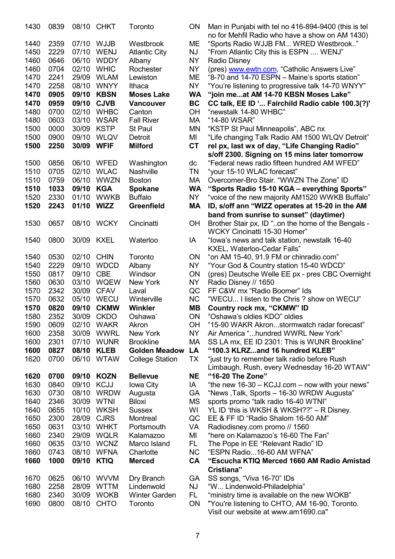| 1430 | 0839 |            | 08/10 CHKT  | Toronto                | ON        | Man in Punjabi with tel no 416-894-9400 (this is tel<br>no for Mehfil Radio who have a show on AM 1430) |
|------|------|------------|-------------|------------------------|-----------|---------------------------------------------------------------------------------------------------------|
| 1440 | 2359 |            | 07/10 WJJB  | Westbrook              | ME        | "Sports Radio WJJB FM WRED Westbrook"                                                                   |
| 1450 | 2229 | 07/10      | <b>WENJ</b> | <b>Atlantic City</b>   | NJ        | "From Atlantic City this is ESPN  WENJ"                                                                 |
| 1460 | 0646 | 06/10      | <b>WDDY</b> | Albany                 | <b>NY</b> | <b>Radio Disney</b>                                                                                     |
| 1460 | 0704 | 02/10      | <b>WHIC</b> | Rochester              | NΥ        | (pres) www.ewtn.com, "Catholic Answers Live"                                                            |
| 1470 | 2241 | 29/09      | <b>WLAM</b> | Lewiston               | MЕ        | "8-70 and 14-70 ESPN - Maine's sports station"                                                          |
| 1470 | 2258 | 08/10      | <b>WNYY</b> | Ithaca                 | <b>NY</b> | "You're listening to progressive talk 14-70 WNYY"                                                       |
| 1470 | 0905 | 09/10      | <b>KBSN</b> | <b>Moses Lake</b>      | <b>WA</b> | "join meat AM 14-70 KBSN Moses Lake"                                                                    |
| 1470 | 0959 | 09/10      | <b>CJVB</b> | Vancouver              | <b>BC</b> | CC talk, EE ID ' Fairchild Radio cable 100.3(?)'                                                        |
| 1480 | 0700 |            | 02/10 WHBC  | Canton                 | OH        | "newstalk 14-80 WHBC"                                                                                   |
| 1480 | 0603 |            | 03/10 WSAR  | <b>Fall River</b>      | МA        | "14-80 WSAR"                                                                                            |
| 1500 | 0000 | 30/09      | <b>KSTP</b> | St Paul                | ΜN        | "KSTP St Paul Minneapolis", ABC nx                                                                      |
| 1500 | 0900 | 09/10      | <b>WLQV</b> | Detroit                | MI        | "Life changing Talk Radio AM 1500 WLQV Detroit"                                                         |
| 1500 | 2250 | 30/09      | <b>WFIF</b> | <b>Milford</b>         | <b>CT</b> | rel px, last wx of day, "Life Changing Radio"                                                           |
|      |      |            |             |                        |           | s/off 2300. Signing on 15 mins later tomorrow                                                           |
| 1500 | 0856 | 06/10      | WFED        | Washington             | dc        | "Federal news radio fifteen hundred AM WFED"                                                            |
| 1510 | 0705 | 02/10      | <b>WLAC</b> | <b>Nashville</b>       | ΤN        | "your 15-10 WLAC forecast"                                                                              |
| 1510 | 0759 | 06/10      | <b>WWZN</b> | <b>Boston</b>          | МA        | Overcomer-Bro Stair. "WWZN The Zone" ID                                                                 |
| 1510 | 1033 | 09/10      | <b>KGA</b>  | <b>Spokane</b>         | <b>WA</b> | "Sports Radio 15-10 KGA - everything Sports"                                                            |
| 1520 | 2330 | 01/10      | <b>WWKB</b> | <b>Buffalo</b>         | <b>NY</b> | "voice of the new majority AM1520 WWKB Buffalo"                                                         |
| 1520 | 2243 | 01/10      | <b>WIZZ</b> | <b>Greenfield</b>      | MA        | ID, s/off ann "WIZZ operates at 15-20 in the AM                                                         |
|      |      |            |             |                        |           | band from sunrise to sunset" (daytimer)                                                                 |
| 1530 | 0657 | 08/10      | <b>WCKY</b> | Cincinatti             | OH        | Brother Stair px, ID "on the home of the Bengals -                                                      |
|      |      |            |             |                        |           | WCKY Cincinatti 15-30 Homer"                                                                            |
| 1540 | 0800 | 30/09 KXEL |             | Waterloo               | IA        | "lowa's news and talk station, newstalk 16-40                                                           |
|      |      |            |             |                        |           | KXEL, Waterloo-Cedar Falls"                                                                             |
| 1540 | 0530 | 02/10      | <b>CHIN</b> | Toronto                | ON        | "on AM 15-40, 91.9 FM or chinradio.com"                                                                 |
| 1540 | 2229 | 09/10      | <b>WDCD</b> | Albany                 | NY        | "Your God & Country station 15-40 WDCD"                                                                 |
| 1550 | 0817 | 09/10      | <b>CBE</b>  | Windsor                | ON        | (pres) Deutsche Welle EE px - pres CBC Overnight                                                        |
| 1560 | 0630 | 03/10      | <b>WQEW</b> | New York               | <b>NY</b> | Radio Disney // 1650                                                                                    |
| 1570 | 2342 | 30/09      | <b>CFAV</b> | Laval                  | QC        | FF C&W mx "Radio Boomer" Ids                                                                            |
| 1570 | 0632 | 05/10      | <b>WECU</b> | Winterville            | <b>NC</b> | "WECU I listen to the Chris ? show on WECU"                                                             |
| 1570 | 0820 | 09/10      | <b>CKMW</b> | Winkler                | MВ        | Country rock mx, "CKMW" ID                                                                              |
| 1580 | 2352 | 30/09      | <b>CKDO</b> | Oshawa                 | ON        | "Oshawa's oldies KDO" oldies                                                                            |
| 1590 | 0609 | 02/10      | <b>WAKR</b> | Akron                  | OН        | "15-90 WAKR Akronstormwatch radar forecast"                                                             |
| 1600 | 2358 | 30/09      | <b>WWRL</b> | New York               | NY.       | Air America "hundred WWRL New York"                                                                     |
| 1600 | 2301 | 07/10      | <b>WUNR</b> | <b>Brookline</b>       | МA        | SS LA mx, EE ID 2301: This is WUNR Brookline"                                                           |
| 1600 | 0827 | 08/10      | <b>KLEB</b> | <b>Golden Meadow</b>   | LA        | "100.3 KLRZand 16 hundred KLEB"                                                                         |
| 1620 | 0700 | 06/10      | <b>WTAW</b> | <b>College Station</b> | TX        | "just try to remember talk radio before Rush                                                            |
|      |      |            |             |                        |           | Limbaugh. Rush, every Wednesday 16-20 WTAW"                                                             |
| 1620 | 0700 | 09/10      | <b>KOZN</b> | <b>Bellevue</b>        | NE        | "16-20 The Zone"                                                                                        |
| 1630 | 0840 | 09/10      | <b>KCJJ</b> | Iowa City              | IA        | "the new 16-30 – KCJJ.com – now with your news"                                                         |
| 1630 | 0730 | 08/10      | <b>WRDW</b> | Augusta                | GA        | "News, Talk, Sports - 16-30 WRDW Augusta"                                                               |
| 1640 | 2346 | 30/09      | <b>WTNI</b> | <b>Biloxi</b>          | <b>MS</b> | sports promo "talk radio 16-40 WTNI"                                                                    |
| 1640 | 0655 | 10/10      | <b>WKSH</b> | <b>Sussex</b>          | WI        | YL ID 'this is WKSH & WKSH??" - R Disney.                                                               |
| 1650 | 2300 | 28/09      | <b>CJRS</b> | Montreal               | QC        | EE & FF ID "Radio Shalom 16-50 AM"                                                                      |
| 1650 | 0631 | 03/10      | <b>WHKT</b> | Portsmouth             | VA        | Radiodisney.com promo // 1560                                                                           |
| 1660 | 2340 | 29/09      | <b>WQLR</b> | <b>Kalamazoo</b>       | MI        | "here on Kalamazoo's 16-60 The Fan"                                                                     |
| 1660 | 0635 | 03/10      | <b>WCNZ</b> | Marco Island           | FL.       | The Pope in EE "Relevant Radio" ID                                                                      |
| 1660 | 0743 | 08/10      | <b>WFNA</b> | Charlotte              | <b>NC</b> | "ESPN Radio16-60 AM WFNA"                                                                               |
| 1660 | 1000 | 09/10      | <b>KTIQ</b> | <b>Merced</b>          | <b>CA</b> | "Escucha KTIQ Merced 1660 AM Radio Amistad                                                              |
|      |      |            |             |                        |           | Cristiana"                                                                                              |
| 1670 | 0625 | 06/10      | <b>WVVM</b> | Dry Branch             | GА        | SS songs, "Viva 16-70" IDs                                                                              |
| 1680 | 2258 | 28/09      | <b>WTTM</b> | Lindenwold             | NJ        | "W Lindenwold-Philadelphia"                                                                             |
| 1680 | 2340 | 30/09      | <b>WOKB</b> | <b>Winter Garden</b>   | FL.       | "ministry time is available on the new WOKB"                                                            |
| 1690 | 0800 | 08/10      | <b>CHTO</b> | Toronto                | ON        | "You're listening to CHTO, AM 16-90, Toronto.                                                           |

| Man in Punjabi with tel no 416-894-9400 (this is tel                                 |
|--------------------------------------------------------------------------------------|
|                                                                                      |
|                                                                                      |
| no for Mehfil Radio who have a show on AM 1430)                                      |
| "Sports Radio WJJB FM WRED Westbrook"                                                |
| "From Atlantic City this is ESPN  WENJ"                                              |
| <b>Radio Disney</b>                                                                  |
|                                                                                      |
| (pres) www.ewtn.com, "Catholic Answers Live"                                         |
| "8-70 and 14-70 ESPN - Maine's sports station"                                       |
| "You're listening to progressive talk 14-70 WNYY"                                    |
| "join meat AM 14-70 KBSN Moses Lake"                                                 |
|                                                                                      |
| CC talk, EE ID ' Fairchild Radio cable 100.3(?)'                                     |
| "newstalk 14-80 WHBC"                                                                |
| "14-80 WSAR"                                                                         |
| "KSTP St Paul Minneapolis", ABC nx                                                   |
| "Life changing Talk Radio AM 1500 WLQV Detroit"                                      |
|                                                                                      |
| rel px, last wx of day, "Life Changing Radio"                                        |
| s/off 2300. Signing on 15 mins later tomorrow                                        |
| "Federal news radio fifteen hundred AM WFED"                                         |
| "your 15-10 WLAC forecast"                                                           |
|                                                                                      |
| Overcomer-Bro Stair. "WWZN The Zone" ID                                              |
| "Sports Radio 15-10 KGA - everything Sports"                                         |
| "voice of the new majority AM1520 WWKB Buffalo"                                      |
| ID, s/off ann "WIZZ operates at 15-20 in the AM                                      |
|                                                                                      |
| band from sunrise to sunset" (daytimer)                                              |
| Brother Stair px, ID "on the home of the Bengals -                                   |
| <b>WCKY Cincinatti 15-30 Homer"</b>                                                  |
| "lowa's news and talk station, newstalk 16-40                                        |
| KXEL, Waterloo-Cedar Falls"                                                          |
| "on AM 15-40, 91.9 FM or chinradio.com"                                              |
|                                                                                      |
| "Your God & Country station 15-40 WDCD"                                              |
| (pres) Deutsche Welle EE px - pres CBC Overnight                                     |
| Radio Disney // 1650                                                                 |
|                                                                                      |
|                                                                                      |
| FF C&W mx "Radio Boomer" Ids                                                         |
| "WECU I listen to the Chris ? show on WECU"                                          |
| Country rock mx, "CKMW" ID                                                           |
| "Oshawa's oldies KDO" oldies                                                         |
| "15-90 WAKR Akronstormwatch radar forecast"                                          |
|                                                                                      |
| Air America "hundred WWRL New York"                                                  |
| SS LA mx, EE ID 2301: This is WUNR Brookline"                                        |
| "100.3 KLRZand 16 hundred KLEB"                                                      |
| "just try to remember talk radio before Rush                                         |
| Limbaugh. Rush, every Wednesday 16-20 WTAW"                                          |
| "16-20 The Zone"                                                                     |
|                                                                                      |
| "the new 16-30 - KCJJ.com - now with your news"                                      |
| "News, Talk, Sports - 16-30 WRDW Augusta"                                            |
| sports promo "talk radio 16-40 WTNI"                                                 |
| YL ID 'this is WKSH & WKSH??" - R Disney.                                            |
| EE & FF ID "Radio Shalom 16-50 AM"                                                   |
|                                                                                      |
| Radiodisney.com promo // 1560                                                        |
| "here on Kalamazoo's 16-60 The Fan"                                                  |
| The Pope in EE "Relevant Radio" ID                                                   |
| "ESPN Radio16-60 AM WFNA"                                                            |
| "Escucha KTIQ Merced 1660 AM Radio Amistad                                           |
| Cristiana"                                                                           |
|                                                                                      |
| SS songs, "Viva 16-70" IDs                                                           |
| "W Lindenwold-Philadelphia"                                                          |
| "ministry time is available on the new WOKB"                                         |
| "You're listening to CHTO, AM 16-90, Toronto.<br>Visit our website at www.am1690.ca" |